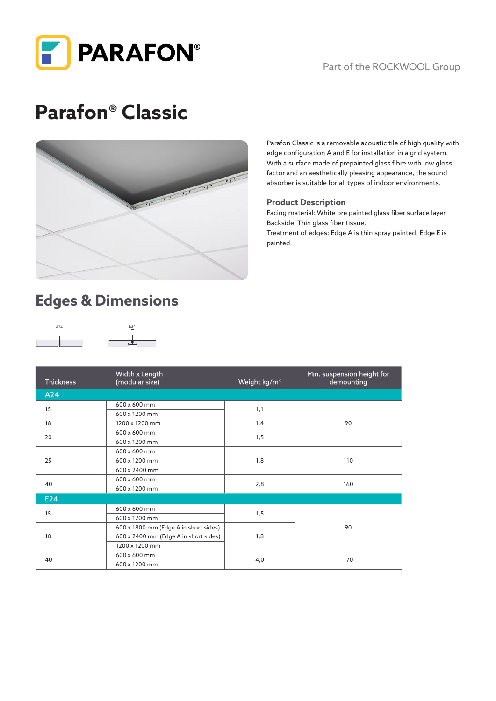

#### Part of the ROCKWOOL Group

# **Parafon® Classic**



Parafon Classic is a removable acoustic tile of high quality with edge configuration A and E for installation in a grid system. With a surface made of prepainted glass fibre with low gloss factor and an aesthetically pleasing appearance, the sound absorber is suitable for all types of indoor environments.

#### **Product Description**

Facing material: White pre painted glass fiber surface layer. Backside: Thin glass fiber tissue.

Treatment of edges: Edge A is thin spray painted, Edge E is painted.

# **Edges & Dimensions**





| <b>Thickness</b> | Width x Length<br>(modular size)      | Weight kg/m <sup>2</sup> | Min. suspension height for<br>demounting |
|------------------|---------------------------------------|--------------------------|------------------------------------------|
| A24              |                                       |                          |                                          |
| 15               | 600 x 600 mm                          | 1,1                      | 90                                       |
|                  | 600 x 1200 mm                         |                          |                                          |
| 18               | 1200 x 1200 mm                        | 1,4                      |                                          |
| 20               | 600 x 600 mm                          | 1,5                      |                                          |
|                  | 600 x 1200 mm                         |                          |                                          |
| 25               | 600 x 600 mm                          | 1,8                      | 110                                      |
|                  | 600 x 1200 mm                         |                          |                                          |
|                  | 600 x 2400 mm                         |                          |                                          |
| 40               | 600 x 600 mm                          | 2,8                      | 160                                      |
|                  | 600 x 1200 mm                         |                          |                                          |
| E24              |                                       |                          |                                          |
| 15               | 600 x 600 mm                          | 1,5                      | 90                                       |
|                  | 600 x 1200 mm                         |                          |                                          |
| 18               | 600 x 1800 mm (Edge A in short sides) | 1,8                      |                                          |
|                  | 600 x 2400 mm (Edge A in short sides) |                          |                                          |
|                  | 1200 x 1200 mm                        |                          |                                          |
| 40               | 600 x 600 mm                          | 4,0                      | 170                                      |
|                  | 600 x 1200 mm                         |                          |                                          |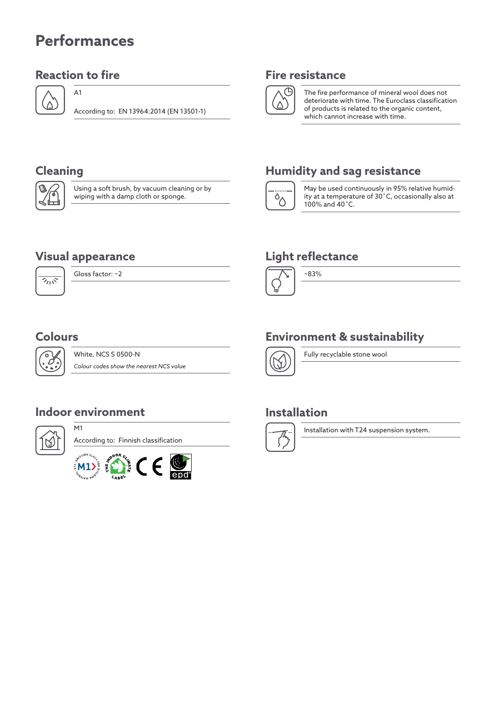# **Performances**

#### **Reaction to fire Fire resistance**

A1



According to: EN 13964:2014 (EN 13501-1)



The fire performance of mineral wool does not deteriorate with time. The Euroclass classification of products is related to the organic content, which cannot increase with time.



Using a soft brush, by vacuum cleaning or by wiping with a damp cloth or sponge.

#### **Cleaning Humidity and sag resistance**



May be used continuously in 95% relative humidity at a temperature of 30˚C, occasionally also at 100% and 40˚C.

### **Light reflectance**



#### ~83%

### **Colours**

ъ

 $\overline{\gamma_{11}}$ 

White, NCS S 0500-N *Colour codes show the nearest NCS value*

#### **Indoor environment**

M1

Gloss factor: ~2

**Visual appearance**



According to: Finnish classification



### **Environment & sustainability**



Fully recyclable stone wool

#### **Installation**



Installation with T24 suspension system.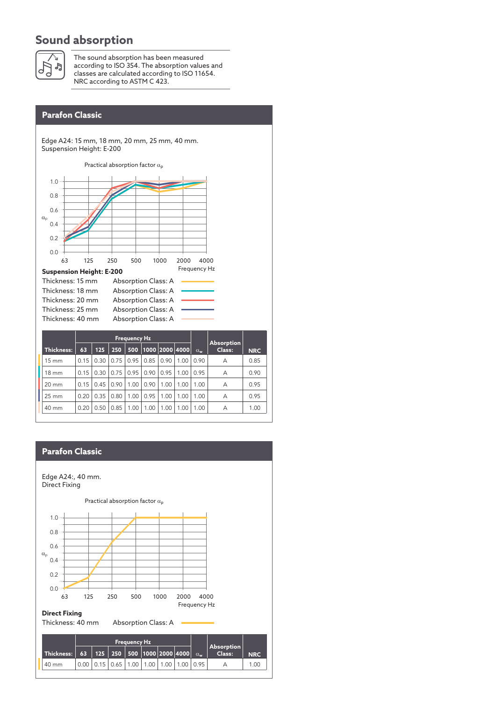#### **Sound absorption**



The sound absorption has been measured according to ISO 354. The absorption values and classes are calculated according to ISO 11654. NRC according to ASTM C 423.

Edge A24: 15 mm, 18 mm, 20 mm, 25 mm, 40 mm. Suspension Height: E-200



#### **Direct Fixing** Thickness: 40 mm Absorption Class: A **Thickness: Frequency Hz** α**<sup>w</sup> Absorption 63 125 250 500 1000 2000 4000 Class: NRC** 40 mm 0.00 0.15 0.65 1.00 1.00 1.00 1.00 0.95 A 1.00  $\alpha_{\rm p}$ 1.0 0.8 0.6 0.4 0.2 0.0 63 0+15+65+100+100+100+100 125 250 500 1000 2000 4000 Frequency Hz Edge A24:, 40 mm. Direct Fixing Practical absorption factor  $\alpha_p$ **Parafon Classic**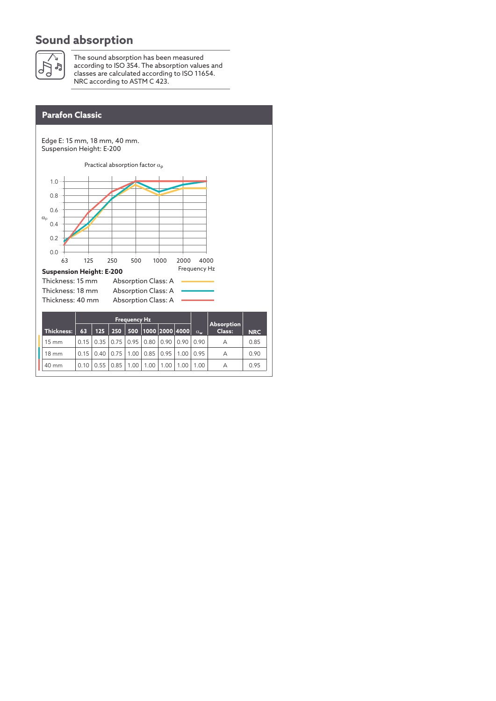#### **Sound absorption**



The sound absorption has been measured according to ISO 354. The absorption values and classes are calculated according to ISO 11654. NRC according to ASTM C 423.